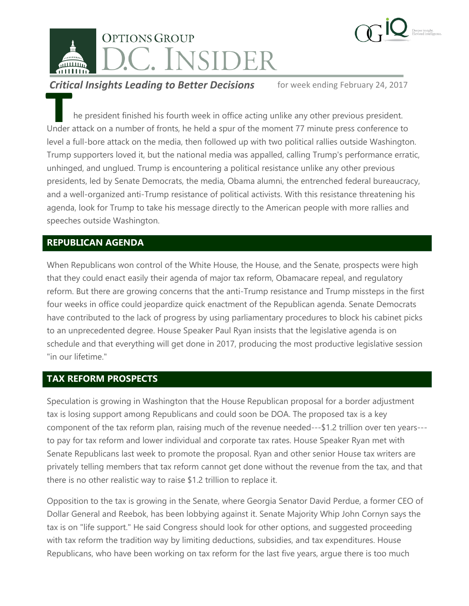



**Critical Insights Leading to Better Decisions** for week ending February 24, 2017

he president finished his fourth week in office acting unlike any other previous president. Under attack on a number of fronts, he held a spur of the moment 77 minute press conference to level a full-bore attack on the media, then followed up with two political rallies outside Washington. Trump supporters loved it, but the national media was appalled, calling Trump's performance erratic, unhinged, and unglued. Trump is encountering a political resistance unlike any other previous presidents, led by Senate Democrats, the media, Obama alumni, the entrenched federal bureaucracy, and a well-organized anti-Trump resistance of political activists. With this resistance threatening his agenda, look for Trump to take his message directly to the American people with more rallies and speeches outside Washington. **The Children**<br>Under

## **REPUBLICAN AGENDA**

When Republicans won control of the White House, the House, and the Senate, prospects were high that they could enact easily their agenda of major tax reform, Obamacare repeal, and regulatory reform. But there are growing concerns that the anti-Trump resistance and Trump missteps in the first four weeks in office could jeopardize quick enactment of the Republican agenda. Senate Democrats have contributed to the lack of progress by using parliamentary procedures to block his cabinet picks to an unprecedented degree. House Speaker Paul Ryan insists that the legislative agenda is on schedule and that everything will get done in 2017, producing the most productive legislative session "in our lifetime."

## **TAX REFORM PROSPECTS**

Speculation is growing in Washington that the House Republican proposal for a border adjustment tax is losing support among Republicans and could soon be DOA. The proposed tax is a key component of the tax reform plan, raising much of the revenue needed---\$1.2 trillion over ten years-- to pay for tax reform and lower individual and corporate tax rates. House Speaker Ryan met with Senate Republicans last week to promote the proposal. Ryan and other senior House tax writers are privately telling members that tax reform cannot get done without the revenue from the tax, and that there is no other realistic way to raise \$1.2 trillion to replace it.

Opposition to the tax is growing in the Senate, where Georgia Senator David Perdue, a former CEO of Dollar General and Reebok, has been lobbying against it. Senate Majority Whip John Cornyn says the tax is on "life support." He said Congress should look for other options, and suggested proceeding with tax reform the tradition way by limiting deductions, subsidies, and tax expenditures. House Republicans, who have been working on tax reform for the last five years, argue there is too much